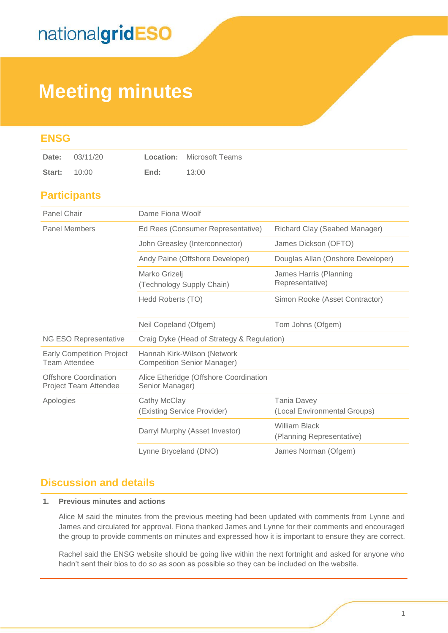## **Meeting minutes**

| <b>ENSG</b>                                              |                                                                   |                                                    |
|----------------------------------------------------------|-------------------------------------------------------------------|----------------------------------------------------|
| 03/11/20<br>Date:                                        | Location:<br><b>Microsoft Teams</b>                               |                                                    |
| 10:00<br>Start:                                          | 13:00<br>End:                                                     |                                                    |
| <b>Participants</b>                                      |                                                                   |                                                    |
| Panel Chair                                              | Dame Fiona Woolf                                                  |                                                    |
| <b>Panel Members</b>                                     | Ed Rees (Consumer Representative)                                 | Richard Clay (Seabed Manager)                      |
|                                                          | John Greasley (Interconnector)                                    | James Dickson (OFTO)                               |
|                                                          | Andy Paine (Offshore Developer)                                   | Douglas Allan (Onshore Developer)                  |
|                                                          | Marko Grizelj<br>(Technology Supply Chain)                        | James Harris (Planning<br>Representative)          |
|                                                          | Hedd Roberts (TO)                                                 | Simon Rooke (Asset Contractor)                     |
|                                                          | Neil Copeland (Ofgem)                                             | Tom Johns (Ofgem)                                  |
| NG ESO Representative                                    | Craig Dyke (Head of Strategy & Regulation)                        |                                                    |
| <b>Early Competition Project</b><br><b>Team Attendee</b> | Hannah Kirk-Wilson (Network<br><b>Competition Senior Manager)</b> |                                                    |
| <b>Offshore Coordination</b><br>Project Team Attendee    | Alice Etheridge (Offshore Coordination<br>Senior Manager)         |                                                    |
| Apologies                                                | Cathy McClay<br>(Existing Service Provider)                       | <b>Tania Davey</b><br>(Local Environmental Groups) |
|                                                          | Darryl Murphy (Asset Investor)                                    | <b>William Black</b><br>(Planning Representative)  |
|                                                          | Lynne Bryceland (DNO)                                             | James Norman (Ofgem)                               |

#### **Discussion and details**

#### **1. Previous minutes and actions**

Alice M said the minutes from the previous meeting had been updated with comments from Lynne and James and circulated for approval. Fiona thanked James and Lynne for their comments and encouraged the group to provide comments on minutes and expressed how it is important to ensure they are correct.

Rachel said the ENSG website should be going live within the next fortnight and asked for anyone who hadn't sent their bios to do so as soon as possible so they can be included on the website.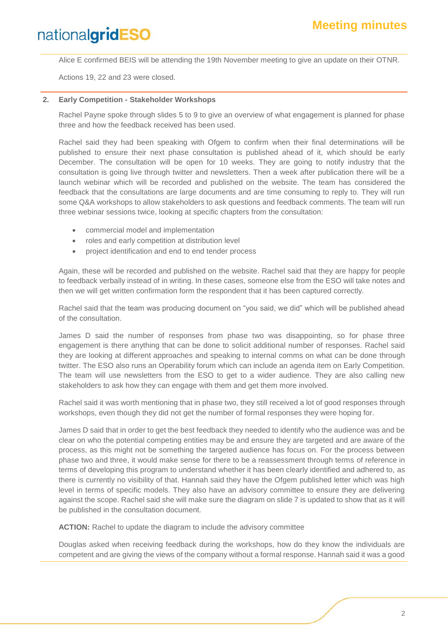Alice E confirmed BEIS will be attending the 19th November meeting to give an update on their OTNR.

Actions 19, 22 and 23 were closed.

#### **2. Early Competition - Stakeholder Workshops**

Rachel Payne spoke through slides 5 to 9 to give an overview of what engagement is planned for phase three and how the feedback received has been used.

Rachel said they had been speaking with Ofgem to confirm when their final determinations will be published to ensure their next phase consultation is published ahead of it, which should be early December. The consultation will be open for 10 weeks. They are going to notify industry that the consultation is going live through twitter and newsletters. Then a week after publication there will be a launch webinar which will be recorded and published on the website. The team has considered the feedback that the consultations are large documents and are time consuming to reply to. They will run some Q&A workshops to allow stakeholders to ask questions and feedback comments. The team will run three webinar sessions twice, looking at specific chapters from the consultation:

- commercial model and implementation
- roles and early competition at distribution level
- project identification and end to end tender process

Again, these will be recorded and published on the website. Rachel said that they are happy for people to feedback verbally instead of in writing. In these cases, someone else from the ESO will take notes and then we will get written confirmation form the respondent that it has been captured correctly.

Rachel said that the team was producing document on "you said, we did" which will be published ahead of the consultation.

James D said the number of responses from phase two was disappointing, so for phase three engagement is there anything that can be done to solicit additional number of responses. Rachel said they are looking at different approaches and speaking to internal comms on what can be done through twitter. The ESO also runs an Operability forum which can include an agenda item on Early Competition. The team will use newsletters from the ESO to get to a wider audience. They are also calling new stakeholders to ask how they can engage with them and get them more involved.

Rachel said it was worth mentioning that in phase two, they still received a lot of good responses through workshops, even though they did not get the number of formal responses they were hoping for.

James D said that in order to get the best feedback they needed to identify who the audience was and be clear on who the potential competing entities may be and ensure they are targeted and are aware of the process, as this might not be something the targeted audience has focus on. For the process between phase two and three, it would make sense for there to be a reassessment through terms of reference in terms of developing this program to understand whether it has been clearly identified and adhered to, as there is currently no visibility of that. Hannah said they have the Ofgem published letter which was high level in terms of specific models. They also have an advisory committee to ensure they are delivering against the scope. Rachel said she will make sure the diagram on slide 7 is updated to show that as it will be published in the consultation document.

**ACTION:** Rachel to update the diagram to include the advisory committee

Douglas asked when receiving feedback during the workshops, how do they know the individuals are competent and are giving the views of the company without a formal response. Hannah said it was a good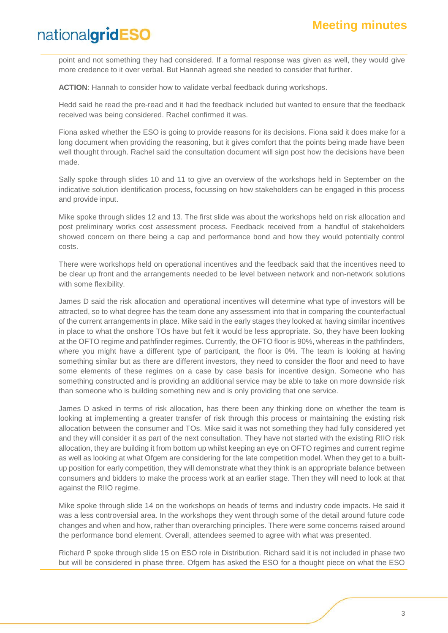point and not something they had considered. If a formal response was given as well, they would give more credence to it over verbal. But Hannah agreed she needed to consider that further.

**ACTION**: Hannah to consider how to validate verbal feedback during workshops.

Hedd said he read the pre-read and it had the feedback included but wanted to ensure that the feedback received was being considered. Rachel confirmed it was.

Fiona asked whether the ESO is going to provide reasons for its decisions. Fiona said it does make for a long document when providing the reasoning, but it gives comfort that the points being made have been well thought through. Rachel said the consultation document will sign post how the decisions have been made.

Sally spoke through slides 10 and 11 to give an overview of the workshops held in September on the indicative solution identification process, focussing on how stakeholders can be engaged in this process and provide input.

Mike spoke through slides 12 and 13. The first slide was about the workshops held on risk allocation and post preliminary works cost assessment process. Feedback received from a handful of stakeholders showed concern on there being a cap and performance bond and how they would potentially control costs.

There were workshops held on operational incentives and the feedback said that the incentives need to be clear up front and the arrangements needed to be level between network and non-network solutions with some flexibility.

James D said the risk allocation and operational incentives will determine what type of investors will be attracted, so to what degree has the team done any assessment into that in comparing the counterfactual of the current arrangements in place. Mike said in the early stages they looked at having similar incentives in place to what the onshore TOs have but felt it would be less appropriate. So, they have been looking at the OFTO regime and pathfinder regimes. Currently, the OFTO floor is 90%, whereas in the pathfinders, where you might have a different type of participant, the floor is 0%. The team is looking at having something similar but as there are different investors, they need to consider the floor and need to have some elements of these regimes on a case by case basis for incentive design. Someone who has something constructed and is providing an additional service may be able to take on more downside risk than someone who is building something new and is only providing that one service.

James D asked in terms of risk allocation, has there been any thinking done on whether the team is looking at implementing a greater transfer of risk through this process or maintaining the existing risk allocation between the consumer and TOs. Mike said it was not something they had fully considered yet and they will consider it as part of the next consultation. They have not started with the existing RIIO risk allocation, they are building it from bottom up whilst keeping an eye on OFTO regimes and current regime as well as looking at what Ofgem are considering for the late competition model. When they get to a builtup position for early competition, they will demonstrate what they think is an appropriate balance between consumers and bidders to make the process work at an earlier stage. Then they will need to look at that against the RIIO regime.

Mike spoke through slide 14 on the workshops on heads of terms and industry code impacts. He said it was a less controversial area. In the workshops they went through some of the detail around future code changes and when and how, rather than overarching principles. There were some concerns raised around the performance bond element. Overall, attendees seemed to agree with what was presented.

Richard P spoke through slide 15 on ESO role in Distribution. Richard said it is not included in phase two but will be considered in phase three. Ofgem has asked the ESO for a thought piece on what the ESO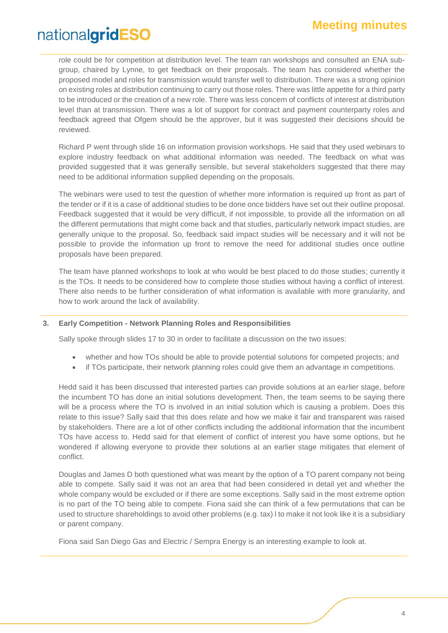role could be for competition at distribution level. The team ran workshops and consulted an ENA subgroup, chaired by Lynne, to get feedback on their proposals. The team has considered whether the proposed model and roles for transmission would transfer well to distribution. There was a strong opinion on existing roles at distribution continuing to carry out those roles. There was little appetite for a third party to be introduced or the creation of a new role. There was less concern of conflicts of interest at distribution level than at transmission. There was a lot of support for contract and payment counterparty roles and feedback agreed that Ofgem should be the approver, but it was suggested their decisions should be reviewed.

Richard P went through slide 16 on information provision workshops. He said that they used webinars to explore industry feedback on what additional information was needed. The feedback on what was provided suggested that it was generally sensible, but several stakeholders suggested that there may need to be additional information supplied depending on the proposals.

The webinars were used to test the question of whether more information is required up front as part of the tender or if it is a case of additional studies to be done once bidders have set out their outline proposal. Feedback suggested that it would be very difficult, if not impossible, to provide all the information on all the different permutations that might come back and that studies, particularly network impact studies, are generally unique to the proposal. So, feedback said impact studies will be necessary and it will not be possible to provide the information up front to remove the need for additional studies once outline proposals have been prepared.

The team have planned workshops to look at who would be best placed to do those studies; currently it is the TOs. It needs to be considered how to complete those studies without having a conflict of interest. There also needs to be further consideration of what information is available with more granularity, and how to work around the lack of availability.

#### **3. Early Competition - Network Planning Roles and Responsibilities**

Sally spoke through slides 17 to 30 in order to facilitate a discussion on the two issues:

- whether and how TOs should be able to provide potential solutions for competed projects; and
- if TOs participate, their network planning roles could give them an advantage in competitions.

Hedd said it has been discussed that interested parties can provide solutions at an earlier stage, before the incumbent TO has done an initial solutions development. Then, the team seems to be saying there will be a process where the TO is involved in an initial solution which is causing a problem. Does this relate to this issue? Sally said that this does relate and how we make it fair and transparent was raised by stakeholders. There are a lot of other conflicts including the additional information that the incumbent TOs have access to. Hedd said for that element of conflict of interest you have some options, but he wondered if allowing everyone to provide their solutions at an earlier stage mitigates that element of conflict.

Douglas and James D both questioned what was meant by the option of a TO parent company not being able to compete. Sally said it was not an area that had been considered in detail yet and whether the whole company would be excluded or if there are some exceptions. Sally said in the most extreme option is no part of the TO being able to compete. Fiona said she can think of a few permutations that can be used to structure shareholdings to avoid other problems (e.g. tax) l to make it not look like it is a subsidiary or parent company.

Fiona said San Diego Gas and Electric / Sempra Energy is an interesting example to look at.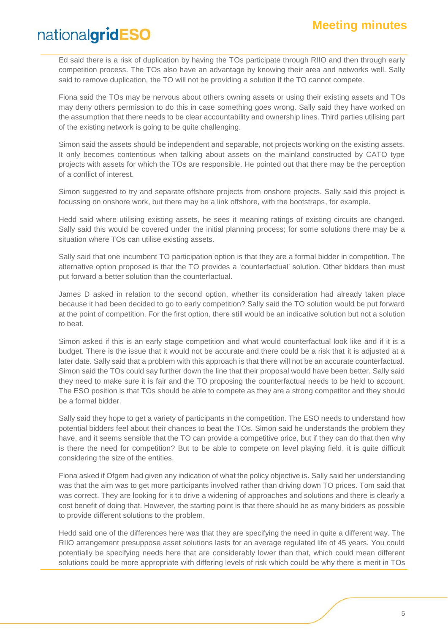Ed said there is a risk of duplication by having the TOs participate through RIIO and then through early competition process. The TOs also have an advantage by knowing their area and networks well. Sally said to remove duplication, the TO will not be providing a solution if the TO cannot compete.

Fiona said the TOs may be nervous about others owning assets or using their existing assets and TOs may deny others permission to do this in case something goes wrong. Sally said they have worked on the assumption that there needs to be clear accountability and ownership lines. Third parties utilising part of the existing network is going to be quite challenging.

Simon said the assets should be independent and separable, not projects working on the existing assets. It only becomes contentious when talking about assets on the mainland constructed by CATO type projects with assets for which the TOs are responsible. He pointed out that there may be the perception of a conflict of interest.

Simon suggested to try and separate offshore projects from onshore projects. Sally said this project is focussing on onshore work, but there may be a link offshore, with the bootstraps, for example.

Hedd said where utilising existing assets, he sees it meaning ratings of existing circuits are changed. Sally said this would be covered under the initial planning process; for some solutions there may be a situation where TOs can utilise existing assets.

Sally said that one incumbent TO participation option is that they are a formal bidder in competition. The alternative option proposed is that the TO provides a 'counterfactual' solution. Other bidders then must put forward a better solution than the counterfactual.

James D asked in relation to the second option, whether its consideration had already taken place because it had been decided to go to early competition? Sally said the TO solution would be put forward at the point of competition. For the first option, there still would be an indicative solution but not a solution to beat.

Simon asked if this is an early stage competition and what would counterfactual look like and if it is a budget. There is the issue that it would not be accurate and there could be a risk that it is adjusted at a later date. Sally said that a problem with this approach is that there will not be an accurate counterfactual. Simon said the TOs could say further down the line that their proposal would have been better. Sally said they need to make sure it is fair and the TO proposing the counterfactual needs to be held to account. The ESO position is that TOs should be able to compete as they are a strong competitor and they should be a formal bidder.

Sally said they hope to get a variety of participants in the competition. The ESO needs to understand how potential bidders feel about their chances to beat the TOs. Simon said he understands the problem they have, and it seems sensible that the TO can provide a competitive price, but if they can do that then why is there the need for competition? But to be able to compete on level playing field, it is quite difficult considering the size of the entities.

Fiona asked if Ofgem had given any indication of what the policy objective is. Sally said her understanding was that the aim was to get more participants involved rather than driving down TO prices. Tom said that was correct. They are looking for it to drive a widening of approaches and solutions and there is clearly a cost benefit of doing that. However, the starting point is that there should be as many bidders as possible to provide different solutions to the problem.

Hedd said one of the differences here was that they are specifying the need in quite a different way. The RIIO arrangement presuppose asset solutions lasts for an average regulated life of 45 years. You could potentially be specifying needs here that are considerably lower than that, which could mean different solutions could be more appropriate with differing levels of risk which could be why there is merit in TOs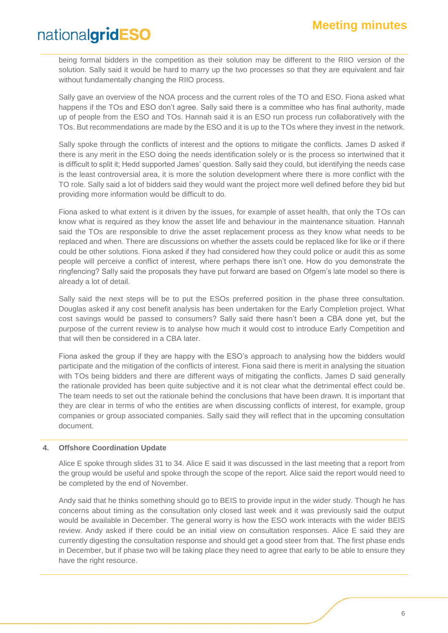being formal bidders in the competition as their solution may be different to the RIIO version of the solution. Sally said it would be hard to marry up the two processes so that they are equivalent and fair without fundamentally changing the RIIO process.

Sally gave an overview of the NOA process and the current roles of the TO and ESO. Fiona asked what happens if the TOs and ESO don't agree. Sally said there is a committee who has final authority, made up of people from the ESO and TOs. Hannah said it is an ESO run process run collaboratively with the TOs. But recommendations are made by the ESO and it is up to the TOs where they invest in the network.

Sally spoke through the conflicts of interest and the options to mitigate the conflicts. James D asked if there is any merit in the ESO doing the needs identification solely or is the process so intertwined that it is difficult to split it; Hedd supported James' question. Sally said they could, but identifying the needs case is the least controversial area, it is more the solution development where there is more conflict with the TO role. Sally said a lot of bidders said they would want the project more well defined before they bid but providing more information would be difficult to do.

Fiona asked to what extent is it driven by the issues, for example of asset health, that only the TOs can know what is required as they know the asset life and behaviour in the maintenance situation. Hannah said the TOs are responsible to drive the asset replacement process as they know what needs to be replaced and when. There are discussions on whether the assets could be replaced like for like or if there could be other solutions. Fiona asked if they had considered how they could police or audit this as some people will perceive a conflict of interest, where perhaps there isn't one. How do you demonstrate the ringfencing? Sally said the proposals they have put forward are based on Ofgem's late model so there is already a lot of detail.

Sally said the next steps will be to put the ESOs preferred position in the phase three consultation. Douglas asked if any cost benefit analysis has been undertaken for the Early Completion project. What cost savings would be passed to consumers? Sally said there hasn't been a CBA done yet, but the purpose of the current review is to analyse how much it would cost to introduce Early Competition and that will then be considered in a CBA later.

Fiona asked the group if they are happy with the ESO's approach to analysing how the bidders would participate and the mitigation of the conflicts of interest. Fiona said there is merit in analysing the situation with TOs being bidders and there are different ways of mitigating the conflicts. James D said generally the rationale provided has been quite subjective and it is not clear what the detrimental effect could be. The team needs to set out the rationale behind the conclusions that have been drawn. It is important that they are clear in terms of who the entities are when discussing conflicts of interest, for example, group companies or group associated companies. Sally said they will reflect that in the upcoming consultation document.

#### **4. Offshore Coordination Update**

Alice E spoke through slides 31 to 34. Alice E said it was discussed in the last meeting that a report from the group would be useful and spoke through the scope of the report. Alice said the report would need to be completed by the end of November.

Andy said that he thinks something should go to BEIS to provide input in the wider study. Though he has concerns about timing as the consultation only closed last week and it was previously said the output would be available in December. The general worry is how the ESO work interacts with the wider BEIS review. Andy asked if there could be an initial view on consultation responses. Alice E said they are currently digesting the consultation response and should get a good steer from that. The first phase ends in December, but if phase two will be taking place they need to agree that early to be able to ensure they have the right resource.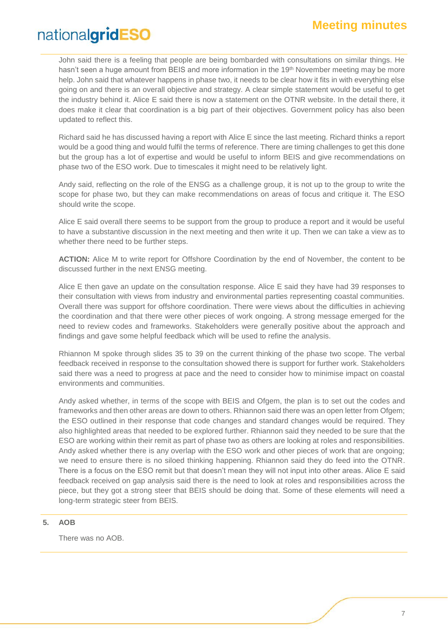John said there is a feeling that people are being bombarded with consultations on similar things. He hasn't seen a huge amount from BEIS and more information in the 19<sup>th</sup> November meeting may be more help. John said that whatever happens in phase two, it needs to be clear how it fits in with everything else going on and there is an overall objective and strategy. A clear simple statement would be useful to get the industry behind it. Alice E said there is now a statement on the OTNR website. In the detail there, it does make it clear that coordination is a big part of their objectives. Government policy has also been updated to reflect this.

Richard said he has discussed having a report with Alice E since the last meeting. Richard thinks a report would be a good thing and would fulfil the terms of reference. There are timing challenges to get this done but the group has a lot of expertise and would be useful to inform BEIS and give recommendations on phase two of the ESO work. Due to timescales it might need to be relatively light.

Andy said, reflecting on the role of the ENSG as a challenge group, it is not up to the group to write the scope for phase two, but they can make recommendations on areas of focus and critique it. The ESO should write the scope.

Alice E said overall there seems to be support from the group to produce a report and it would be useful to have a substantive discussion in the next meeting and then write it up. Then we can take a view as to whether there need to be further steps.

**ACTION:** Alice M to write report for Offshore Coordination by the end of November, the content to be discussed further in the next ENSG meeting.

Alice E then gave an update on the consultation response. Alice E said they have had 39 responses to their consultation with views from industry and environmental parties representing coastal communities. Overall there was support for offshore coordination. There were views about the difficulties in achieving the coordination and that there were other pieces of work ongoing. A strong message emerged for the need to review codes and frameworks. Stakeholders were generally positive about the approach and findings and gave some helpful feedback which will be used to refine the analysis.

Rhiannon M spoke through slides 35 to 39 on the current thinking of the phase two scope. The verbal feedback received in response to the consultation showed there is support for further work. Stakeholders said there was a need to progress at pace and the need to consider how to minimise impact on coastal environments and communities.

Andy asked whether, in terms of the scope with BEIS and Ofgem, the plan is to set out the codes and frameworks and then other areas are down to others. Rhiannon said there was an open letter from Ofgem; the ESO outlined in their response that code changes and standard changes would be required. They also highlighted areas that needed to be explored further. Rhiannon said they needed to be sure that the ESO are working within their remit as part of phase two as others are looking at roles and responsibilities. Andy asked whether there is any overlap with the ESO work and other pieces of work that are ongoing; we need to ensure there is no siloed thinking happening. Rhiannon said they do feed into the OTNR. There is a focus on the ESO remit but that doesn't mean they will not input into other areas. Alice E said feedback received on gap analysis said there is the need to look at roles and responsibilities across the piece, but they got a strong steer that BEIS should be doing that. Some of these elements will need a long-term strategic steer from BEIS.

#### **5. AOB**

There was no AOB.